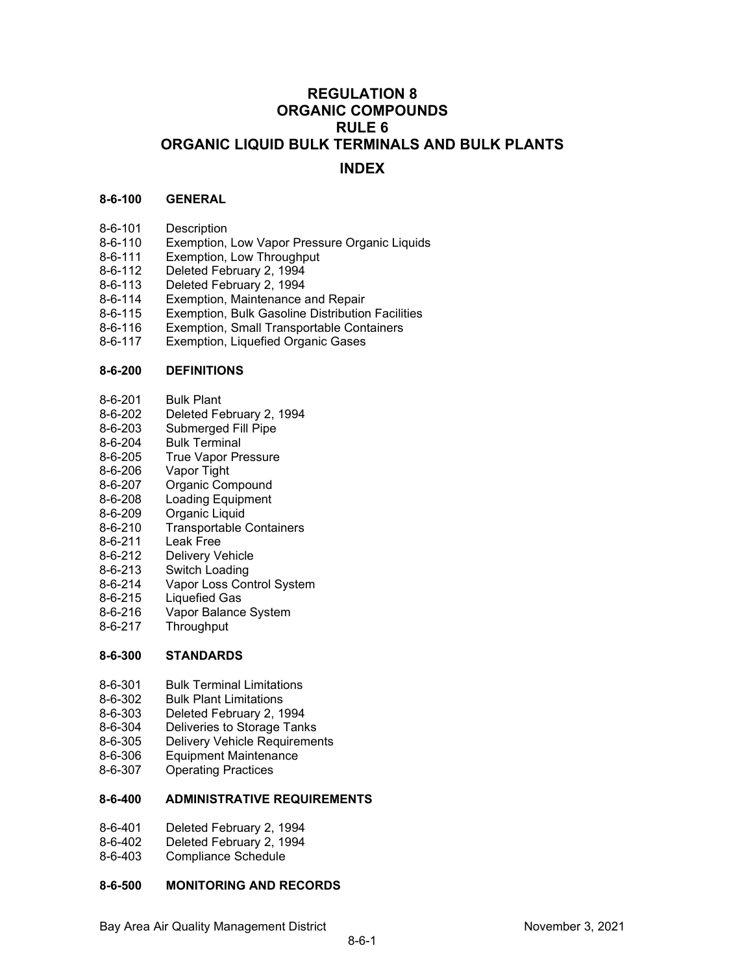# **REGULATION 8 ORGANIC COMPOUNDS RULE 6 ORGANIC LIQUID BULK TERMINALS AND BULK PLANTS INDEX**

#### **8-6-100 GENERAL**

- 8-6-101 Description<br>8-6-110 Exemption.
- 8-6-110 Exemption, Low Vapor Pressure Organic Liquids<br>8-6-111 Exemption, Low Throughput
- 8-6-111 Exemption, Low Throughput<br>8-6-112 Deleted February 2 1994
- Deleted February 2, 1994
- 8-6-113 Deleted February 2, 1994
- 8-6-114 Exemption, Maintenance and Repair
- 8-6-115 Exemption, Bulk Gasoline Distribution Facilities
- 8-6-116 Exemption, Small Transportable Containers<br>8-6-117 Exemption, Liquefied Organic Gases
- Exemption, Liquefied Organic Gases

#### **8-6-200 DEFINITIONS**

- 8-6-201 Bulk Plant<br>8-6-202 Deleted Fe
- Deleted February 2, 1994
- 8-6-203 Submerged Fill Pipe
- 8-6-204 Bulk Terminal
- 8-6-205 True Vapor Pressure
- 8-6-206 Vapor Tight<br>8-6-207 Organic Cor
- Organic Compound
- 8-6-208 Loading Equipment<br>8-6-209 Organic Liquid
- 8-6-209 Organic Liquid<br>8-6-210 Transportable
- Transportable Containers
- 8-6-211 Leak Free
- 8-6-212 Delivery Vehicle<br>8-6-213 Switch Loading
- Switch Loading
- 8-6-214 Vapor Loss Control System<br>8-6-215 Liquefied Gas
- Liquefied Gas
- 8-6-216 Vapor Balance System
- 8-6-217 Throughput

## **8-6-300 STANDARDS**

- 8-6-301 Bulk Terminal Limitations
- 8-6-302 Bulk Plant Limitations<br>8-6-303 Deleted February 2.1
- Deleted February 2, 1994
- 8-6-304 Deliveries to Storage Tanks
- 8-6-305 Delivery Vehicle Requirements
- 8-6-306 Equipment Maintenance<br>8-6-307 Operating Practices
- **Operating Practices**

#### **8-6-400 ADMINISTRATIVE REQUIREMENTS**

- 8-6-401 Deleted February 2, 1994
- 8-6-402 Deleted February 2, 1994
- 8-6-403 Compliance Schedule

# **8-6-500 MONITORING AND RECORDS**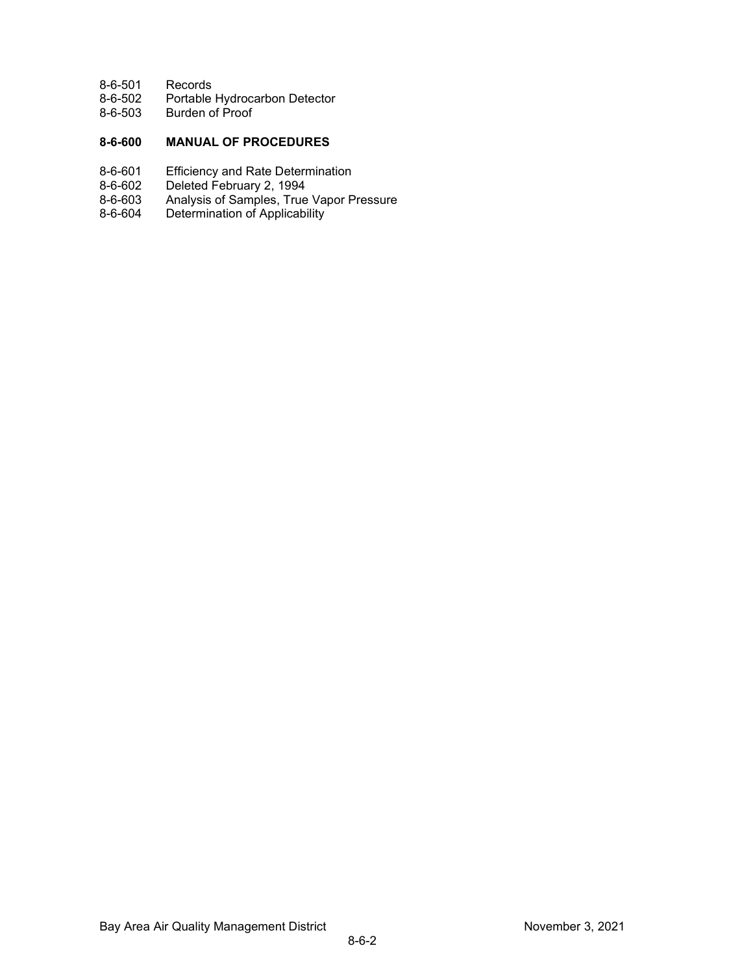- 8-6-501 Records
- 8-6-502 Portable Hydrocarbon Detector<br>8-6-503 Burden of Proof
- Burden of Proof

# **8-6-600 MANUAL OF PROCEDURES**

- 8-6-601 Efficiency and Rate Determination
- 8-6-602 Deleted February 2, 1994<br>8-6-603 Analysis of Samples, True
- Analysis of Samples, True Vapor Pressure
- 8-6-604 Determination of Applicability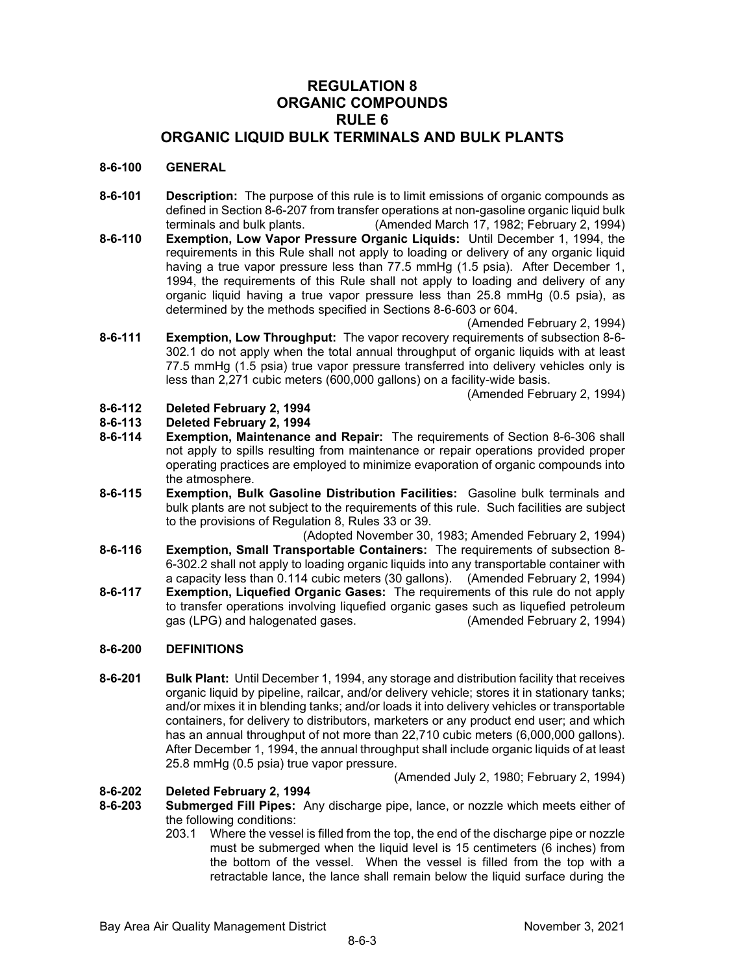# **REGULATION 8 ORGANIC COMPOUNDS RULE 6 ORGANIC LIQUID BULK TERMINALS AND BULK PLANTS**

#### **8-6-100 GENERAL**

- **8-6-101 Description:** The purpose of this rule is to limit emissions of organic compounds as defined in Section 8-6-207 from transfer operations at non-gasoline organic liquid bulk terminals and bulk plants. (Amended March 17, 1982; February 2, 1994)
- **8-6-110 Exemption, Low Vapor Pressure Organic Liquids:** Until December 1, 1994, the requirements in this Rule shall not apply to loading or delivery of any organic liquid having a true vapor pressure less than 77.5 mmHg (1.5 psia). After December 1, 1994, the requirements of this Rule shall not apply to loading and delivery of any organic liquid having a true vapor pressure less than 25.8 mmHg (0.5 psia), as determined by the methods specified in Sections 8-6-603 or 604.

(Amended February 2, 1994)

**8-6-111 Exemption, Low Throughput:** The vapor recovery requirements of subsection 8-6- 302.1 do not apply when the total annual throughput of organic liquids with at least 77.5 mmHg (1.5 psia) true vapor pressure transferred into delivery vehicles only is less than 2,271 cubic meters (600,000 gallons) on a facility-wide basis.

(Amended February 2, 1994)

# **8-6-112 Deleted February 2, 1994**

- **8-6-113 Deleted February 2, 1994**
- **Exemption, Maintenance and Repair:** The requirements of Section 8-6-306 shall not apply to spills resulting from maintenance or repair operations provided proper operating practices are employed to minimize evaporation of organic compounds into the atmosphere.
- **8-6-115 Exemption, Bulk Gasoline Distribution Facilities:** Gasoline bulk terminals and bulk plants are not subject to the requirements of this rule. Such facilities are subject to the provisions of Regulation 8, Rules 33 or 39.

(Adopted November 30, 1983; Amended February 2, 1994)

- **8-6-116 Exemption, Small Transportable Containers:** The requirements of subsection 8- 6-302.2 shall not apply to loading organic liquids into any transportable container with a capacity less than 0.114 cubic meters (30 gallons). (Amended February 2, 1994)
- **8-6-117 Exemption, Liquefied Organic Gases:** The requirements of this rule do not apply to transfer operations involving liquefied organic gases such as liquefied petroleum gas (LPG) and halogenated gases. (Amended February 2, 1994)

#### **8-6-200 DEFINITIONS**

**8-6-201 Bulk Plant:** Until December 1, 1994, any storage and distribution facility that receives organic liquid by pipeline, railcar, and/or delivery vehicle; stores it in stationary tanks; and/or mixes it in blending tanks; and/or loads it into delivery vehicles or transportable containers, for delivery to distributors, marketers or any product end user; and which has an annual throughput of not more than 22,710 cubic meters (6,000,000 gallons). After December 1, 1994, the annual throughput shall include organic liquids of at least 25.8 mmHg (0.5 psia) true vapor pressure.

(Amended July 2, 1980; February 2, 1994)

# **8-6-202 Deleted February 2, 1994**

- **8-6-203 Submerged Fill Pipes:** Any discharge pipe, lance, or nozzle which meets either of the following conditions:
	- 203.1 Where the vessel is filled from the top, the end of the discharge pipe or nozzle must be submerged when the liquid level is 15 centimeters (6 inches) from the bottom of the vessel. When the vessel is filled from the top with a retractable lance, the lance shall remain below the liquid surface during the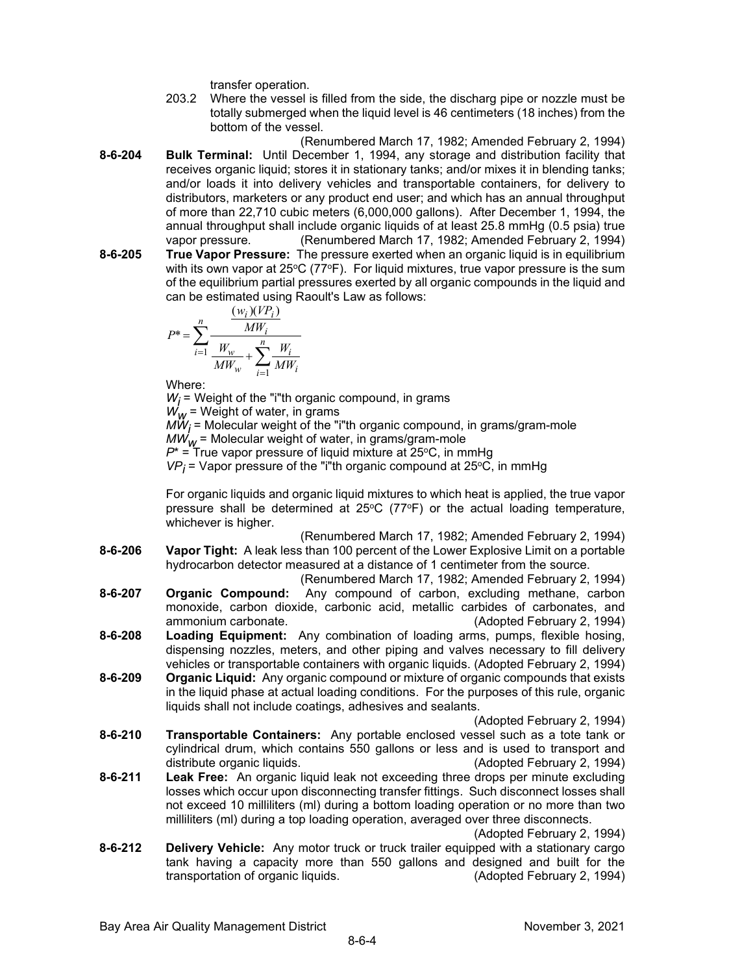transfer operation.

- 203.2 Where the vessel is filled from the side, the discharg pipe or nozzle must be totally submerged when the liquid level is 46 centimeters (18 inches) from the bottom of the vessel.
- (Renumbered March 17, 1982; Amended February 2, 1994) **8-6-204 Bulk Terminal:** Until December 1, 1994, any storage and distribution facility that receives organic liquid; stores it in stationary tanks; and/or mixes it in blending tanks; and/or loads it into delivery vehicles and transportable containers, for delivery to distributors, marketers or any product end user; and which has an annual throughput of more than 22,710 cubic meters (6,000,000 gallons). After December 1, 1994, the annual throughput shall include organic liquids of at least 25.8 mmHg (0.5 psia) true vapor pressure. (Renumbered March 17, 1982; Amended February 2, 1994) **8-6-205 True Vapor Pressure:** The pressure exerted when an organic liquid is in equilibrium
- with its own vapor at  $25^{\circ}C$  (77 $^{\circ}F$ ). For liquid mixtures, true vapor pressure is the sum of the equilibrium partial pressures exerted by all organic compounds in the liquid and can be estimated using Raoult's Law as follows:

$$
P^* = \sum_{i=1}^n \frac{\frac{(w_i)(VP_i)}{MW_i}}{\frac{W_w}{MW_w} + \sum_{i=1}^n \frac{W_i}{MW_i}}
$$

Where:

 $W_i$  = Weight of the "i"th organic compound, in grams  $W_W$  = Weight of water, in grams  $M\ddot{W}_i$  = Molecular weight of the "i"th organic compound, in grams/gram-mole  $MW_{W}$  = Molecular weight of water, in grams/gram-mole  $P^*$  = True vapor pressure of liquid mixture at 25<sup>o</sup>C, in mmHg  $VP_i$  = Vapor pressure of the "i"th organic compound at 25 $\degree$ C, in mmHg

For organic liquids and organic liquid mixtures to which heat is applied, the true vapor pressure shall be determined at  $25^{\circ}C$  (77 $^{\circ}F$ ) or the actual loading temperature, whichever is higher.

(Renumbered March 17, 1982; Amended February 2, 1994) **8-6-206 Vapor Tight:** A leak less than 100 percent of the Lower Explosive Limit on a portable hydrocarbon detector measured at a distance of 1 centimeter from the source.

(Renumbered March 17, 1982; Amended February 2, 1994)

- **8-6-207 Organic Compound:** Any compound of carbon, excluding methane, carbon monoxide, carbon dioxide, carbonic acid, metallic carbides of carbonates, and (Adopted February 2, 1994)
- **8-6-208 Loading Equipment:** Any combination of loading arms, pumps, flexible hosing, dispensing nozzles, meters, and other piping and valves necessary to fill delivery vehicles or transportable containers with organic liquids. (Adopted February 2, 1994)
- **8-6-209 Organic Liquid:** Any organic compound or mixture of organic compounds that exists in the liquid phase at actual loading conditions. For the purposes of this rule, organic liquids shall not include coatings, adhesives and sealants.

(Adopted February 2, 1994)

- **8-6-210 Transportable Containers:** Any portable enclosed vessel such as a tote tank or cylindrical drum, which contains 550 gallons or less and is used to transport and distribute organic liquids. (Adopted February 2, 1994)
- **8-6-211 Leak Free:** An organic liquid leak not exceeding three drops per minute excluding losses which occur upon disconnecting transfer fittings. Such disconnect losses shall not exceed 10 milliliters (ml) during a bottom loading operation or no more than two milliliters (ml) during a top loading operation, averaged over three disconnects.

(Adopted February 2, 1994)

**8-6-212 Delivery Vehicle:** Any motor truck or truck trailer equipped with a stationary cargo tank having a capacity more than 550 gallons and designed and built for the transportation of organic liquids. (Adopted February 2, 1994)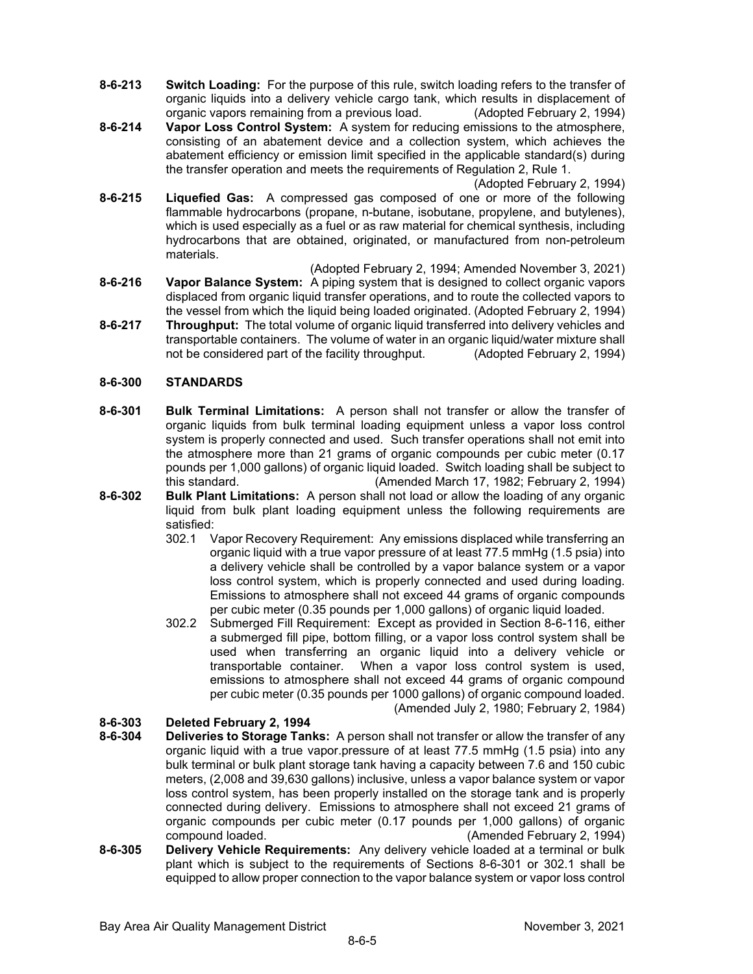- **8-6-213 Switch Loading:** For the purpose of this rule, switch loading refers to the transfer of organic liquids into a delivery vehicle cargo tank, which results in displacement of organic vapors remaining from a previous load. (Adopted February 2, 1994)
- **8-6-214 Vapor Loss Control System:** A system for reducing emissions to the atmosphere, consisting of an abatement device and a collection system, which achieves the abatement efficiency or emission limit specified in the applicable standard(s) during the transfer operation and meets the requirements of Regulation 2, Rule 1.

(Adopted February 2, 1994)

- **8-6-215 Liquefied Gas:** A compressed gas composed of one or more of the following flammable hydrocarbons (propane, n-butane, isobutane, propylene, and butylenes), which is used especially as a fuel or as raw material for chemical synthesis, including hydrocarbons that are obtained, originated, or manufactured from non-petroleum materials.
- (Adopted February 2, 1994; Amended November 3, 2021) **8-6-216 Vapor Balance System:** A piping system that is designed to collect organic vapors displaced from organic liquid transfer operations, and to route the collected vapors to the vessel from which the liquid being loaded originated. (Adopted February 2, 1994)
- **8-6-217 Throughput:** The total volume of organic liquid transferred into delivery vehicles and transportable containers. The volume of water in an organic liquid/water mixture shall not be considered part of the facility throughput. (Adopted February 2, 1994)

### **8-6-300 STANDARDS**

- **8-6-301 Bulk Terminal Limitations:** A person shall not transfer or allow the transfer of organic liquids from bulk terminal loading equipment unless a vapor loss control system is properly connected and used. Such transfer operations shall not emit into the atmosphere more than 21 grams of organic compounds per cubic meter (0.17 pounds per 1,000 gallons) of organic liquid loaded. Switch loading shall be subject to this standard. (Amended March 17, 1982; February 2, 1994)
- **8-6-302 Bulk Plant Limitations:** A person shall not load or allow the loading of any organic liquid from bulk plant loading equipment unless the following requirements are satisfied:
	- 302.1 Vapor Recovery Requirement: Any emissions displaced while transferring an organic liquid with a true vapor pressure of at least 77.5 mmHg (1.5 psia) into a delivery vehicle shall be controlled by a vapor balance system or a vapor loss control system, which is properly connected and used during loading. Emissions to atmosphere shall not exceed 44 grams of organic compounds per cubic meter (0.35 pounds per 1,000 gallons) of organic liquid loaded.
	- 302.2 Submerged Fill Requirement: Except as provided in Section 8-6-116, either a submerged fill pipe, bottom filling, or a vapor loss control system shall be used when transferring an organic liquid into a delivery vehicle or transportable container. When a vapor loss control system is used, emissions to atmosphere shall not exceed 44 grams of organic compound per cubic meter (0.35 pounds per 1000 gallons) of organic compound loaded. (Amended July 2, 1980; February 2, 1984)

- **8-6-303 Deleted February 2, 1994 Deliveries to Storage Tanks:** A person shall not transfer or allow the transfer of any organic liquid with a true vapor.pressure of at least 77.5 mmHg (1.5 psia) into any bulk terminal or bulk plant storage tank having a capacity between 7.6 and 150 cubic meters, (2,008 and 39,630 gallons) inclusive, unless a vapor balance system or vapor loss control system, has been properly installed on the storage tank and is properly connected during delivery. Emissions to atmosphere shall not exceed 21 grams of organic compounds per cubic meter (0.17 pounds per 1,000 gallons) of organic compound loaded. (Amended February 2, 1994)
- **8-6-305 Delivery Vehicle Requirements:** Any delivery vehicle loaded at a terminal or bulk plant which is subject to the requirements of Sections 8-6-301 or 302.1 shall be equipped to allow proper connection to the vapor balance system or vapor loss control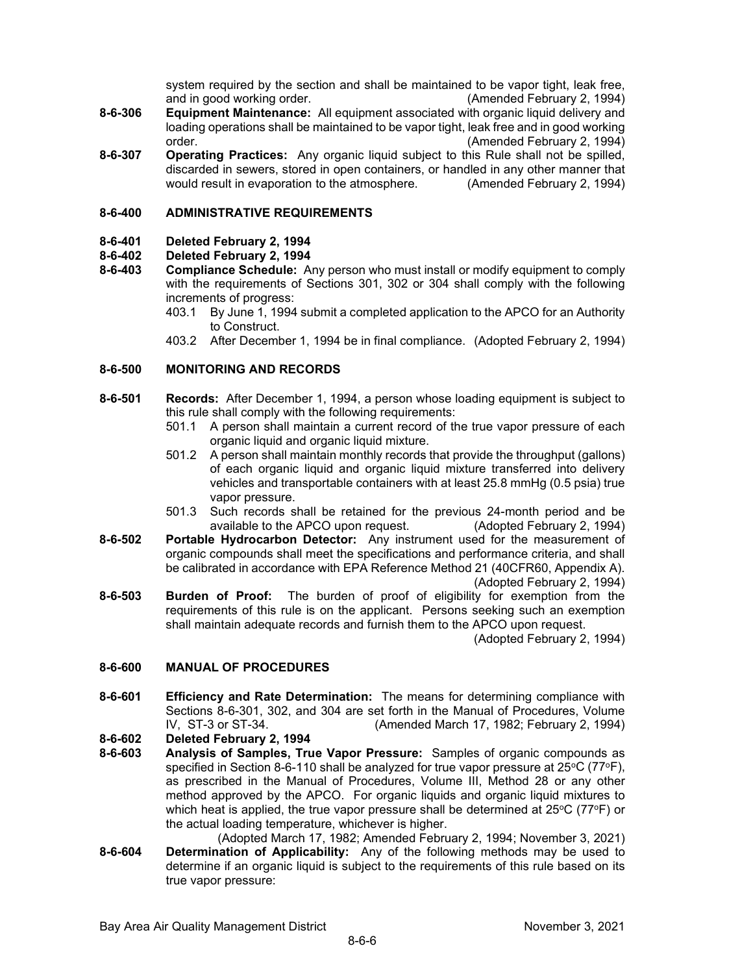system required by the section and shall be maintained to be vapor tight, leak free, and in good working order. (Amended February 2, 1994)

- **8-6-306 Equipment Maintenance:** All equipment associated with organic liquid delivery and loading operations shall be maintained to be vapor tight, leak free and in good working order. (Amended February 2, 1994)
- **8-6-307 Operating Practices:** Any organic liquid subject to this Rule shall not be spilled, discarded in sewers, stored in open containers, or handled in any other manner that would result in evaporation to the atmosphere. (Amended February 2, 1994)

#### **8-6-400 ADMINISTRATIVE REQUIREMENTS**

### **8-6-401 Deleted February 2, 1994**

# **8-6-402 Deleted February 2, 1994**

- **8-6-403 Compliance Schedule:** Any person who must install or modify equipment to comply with the requirements of Sections 301, 302 or 304 shall comply with the following increments of progress:
	- 403.1 By June 1, 1994 submit a completed application to the APCO for an Authority to Construct.
	- 403.2 After December 1, 1994 be in final compliance. (Adopted February 2, 1994)

#### **8-6-500 MONITORING AND RECORDS**

- **8-6-501 Records:** After December 1, 1994, a person whose loading equipment is subject to this rule shall comply with the following requirements:
	- 501.1 A person shall maintain a current record of the true vapor pressure of each organic liquid and organic liquid mixture.
	- 501.2 A person shall maintain monthly records that provide the throughput (gallons) of each organic liquid and organic liquid mixture transferred into delivery vehicles and transportable containers with at least 25.8 mmHg (0.5 psia) true vapor pressure.
	- 501.3 Such records shall be retained for the previous 24-month period and be available to the APCO upon request. (Adopted February 2, 1994)
- **8-6-502 Portable Hydrocarbon Detector:** Any instrument used for the measurement of organic compounds shall meet the specifications and performance criteria, and shall be calibrated in accordance with EPA Reference Method 21 (40CFR60, Appendix A). (Adopted February 2, 1994)
- **8-6-503 Burden of Proof:** The burden of proof of eligibility for exemption from the requirements of this rule is on the applicant. Persons seeking such an exemption shall maintain adequate records and furnish them to the APCO upon request.

(Adopted February 2, 1994)

# **8-6-600 MANUAL OF PROCEDURES**

**8-6-601 Efficiency and Rate Determination:** The means for determining compliance with Sections 8-6-301, 302, and 304 are set forth in the Manual of Procedures, Volume IV, ST-3 or ST-34. (Amended March 17, 1982; February 2, 1994)

**8-6-602 Deleted February 2, 1994**

- **8-6-603 Analysis of Samples, True Vapor Pressure:** Samples of organic compounds as specified in Section 8-6-110 shall be analyzed for true vapor pressure at  $25^{\circ}$ C (77 $^{\circ}$ F), as prescribed in the Manual of Procedures, Volume III, Method 28 or any other method approved by the APCO. For organic liquids and organic liquid mixtures to which heat is applied, the true vapor pressure shall be determined at  $25^{\circ}C$  (77 $^{\circ}F$ ) or the actual loading temperature, whichever is higher.
- (Adopted March 17, 1982; Amended February 2, 1994; November 3, 2021) **8-6-604 Determination of Applicability:** Any of the following methods may be used to determine if an organic liquid is subject to the requirements of this rule based on its true vapor pressure: